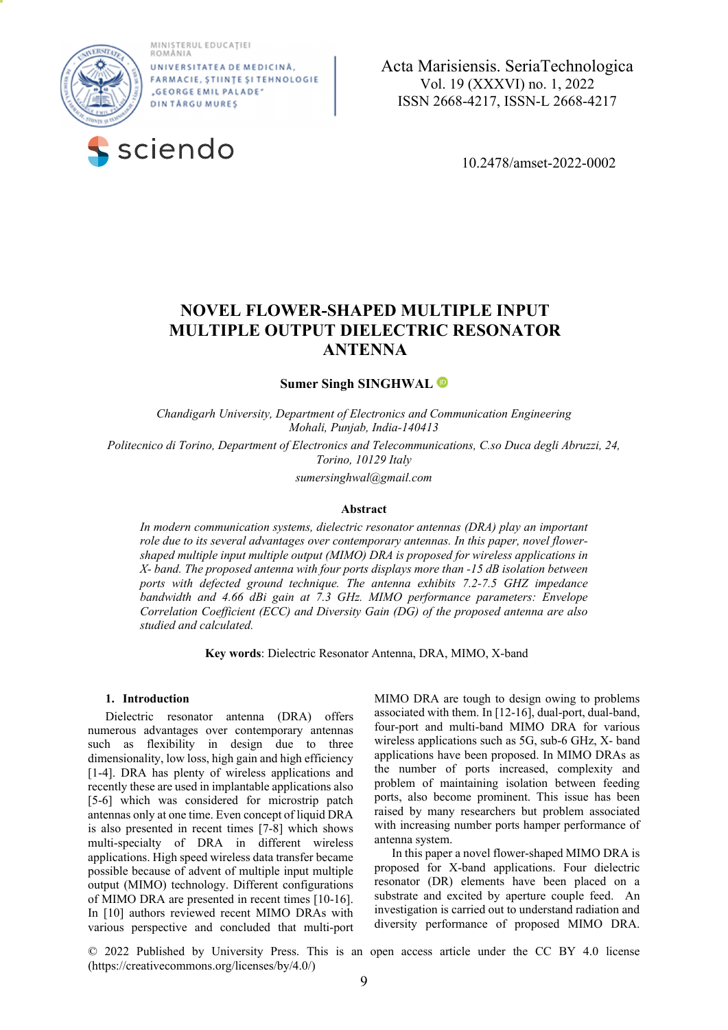MINISTERUL EDUCAȚIEI<br>ROMÂNIA



UNIVERSITATE A DE MEDICINĂ FARMACIE, ȘTIINȚE ȘI TEHNOLOGIE "GEORGE EMIL PALADE" **DINTÅRGUMURES** 



 **a**  Acta Marisiensis. SeriaTechnologica Vol. 19 (XXXVI) no. 1, 2022 ISSN 2668-4217, ISSN-L 2668-4217

10.2478/amset-2022-0002

# **NOVEL FLOWER-SHAPED MULTIPLE INPUT MULTIPLE OUTPUT DIELECTRIC RESONATOR ANTENNA**

**Sumer Singh SINGHWAL**

*Chandigarh University, Department of Electronics and Communication Engineering Mohali, Punjab, India-140413* 

*Politecnico di Torino, Department of Electronics and Telecommunications, C.so Duca degli Abruzzi, 24, Torino, 10129 Italy* 

*sumersinghwal@gmail.com* 

#### **Abstract**

*In modern communication systems, dielectric resonator antennas (DRA) play an important role due to its several advantages over contemporary antennas. In this paper, novel flowershaped multiple input multiple output (MIMO) DRA is proposed for wireless applications in X- band. The proposed antenna with four ports displays more than -15 dB isolation between ports with defected ground technique. The antenna exhibits 7.2-7.5 GHZ impedance bandwidth and 4.66 dBi gain at 7.3 GHz. MIMO performance parameters: Envelope Correlation Coefficient (ECC) and Diversity Gain (DG) of the proposed antenna are also studied and calculated.*

**Key words**: Dielectric Resonator Antenna, DRA, MIMO, X-band

# **1. Introduction**

Dielectric resonator antenna (DRA) offers numerous advantages over contemporary antennas such as flexibility in design due to three dimensionality, low loss, high gain and high efficiency [1-4]. DRA has plenty of wireless applications and recently these are used in implantable applications also [5-6] which was considered for microstrip patch antennas only at one time. Even concept of liquid DRA is also presented in recent times [7-8] which shows multi-specialty of DRA in different wireless applications. High speed wireless data transfer became possible because of advent of multiple input multiple output (MIMO) technology. Different configurations of MIMO DRA are presented in recent times [10-16]. In [10] authors reviewed recent MIMO DRAs with various perspective and concluded that multi-port

MIMO DRA are tough to design owing to problems associated with them. In [12-16], dual-port, dual-band, four-port and multi-band MIMO DRA for various wireless applications such as 5G, sub-6 GHz, X- band applications have been proposed. In MIMO DRAs as the number of ports increased, complexity and problem of maintaining isolation between feeding ports, also become prominent. This issue has been raised by many researchers but problem associated with increasing number ports hamper performance of antenna system.

In this paper a novel flower-shaped MIMO DRA is proposed for X-band applications. Four dielectric resonator (DR) elements have been placed on a substrate and excited by aperture couple feed. An investigation is carried out to understand radiation and diversity performance of proposed MIMO DRA.

© 2022 Published by University Press. This is an open access article under the CC BY 4.0 license (https://creativecommons.org/licenses/by/4.0/)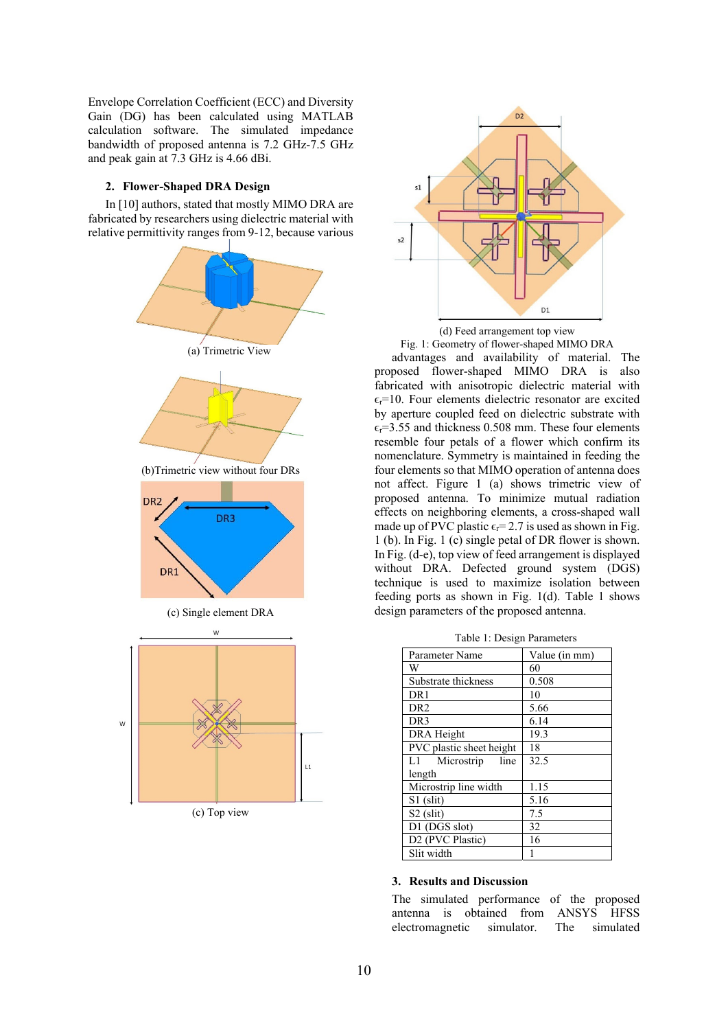Envelope Correlation Coefficient (ECC) and Diversity Gain (DG) has been calculated using MATLAB calculation software. The simulated impedance bandwidth of proposed antenna is 7.2 GHz-7.5 GHz and peak gain at 7.3 GHz is 4.66 dBi.

## **2. Flower-Shaped DRA Design**

In [10] authors, stated that mostly MIMO DRA are fabricated by researchers using dielectric material with relative permittivity ranges from 9-12, because various



(c) Top view





advantages and availability of material. The proposed flower-shaped MIMO DRA is also fabricated with anisotropic dielectric material with  $\epsilon$ <sub>r</sub>=10. Four elements dielectric resonator are excited by aperture coupled feed on dielectric substrate with  $\epsilon_r$ =3.55 and thickness 0.508 mm. These four elements resemble four petals of a flower which confirm its nomenclature. Symmetry is maintained in feeding the four elements so that MIMO operation of antenna does not affect. Figure 1 (a) shows trimetric view of proposed antenna. To minimize mutual radiation effects on neighboring elements, a cross-shaped wall made up of PVC plastic  $\epsilon_r$ = 2.7 is used as shown in Fig. 1 (b). In Fig. 1 (c) single petal of DR flower is shown. In Fig. (d-e), top view of feed arrangement is displayed without DRA. Defected ground system (DGS) technique is used to maximize isolation between feeding ports as shown in Fig. 1(d). Table 1 shows design parameters of the proposed antenna.

Table 1: Design Parameters

| Parameter Name           | Value (in mm) |  |
|--------------------------|---------------|--|
| W                        | 60            |  |
| Substrate thickness      | 0.508         |  |
| DR <sub>1</sub>          | 10            |  |
| DR <sub>2</sub>          | 5.66          |  |
| DR <sub>3</sub>          | 6.14          |  |
| DRA Height               | 19.3          |  |
| PVC plastic sheet height | 18            |  |
| L1<br>Microstrip<br>line | 32.5          |  |
| length                   |               |  |
| Microstrip line width    | 1.15          |  |
| $S1$ (slit)              | 5.16          |  |
| $S2$ (slit)              | 7.5           |  |
| D1 (DGS slot)            | 32            |  |
| D2 (PVC Plastic)         | 16            |  |
| Slit width               |               |  |

## **3. Results and Discussion**

The simulated performance of the proposed antenna is obtained from ANSYS HFSS electromagnetic simulator. The simulated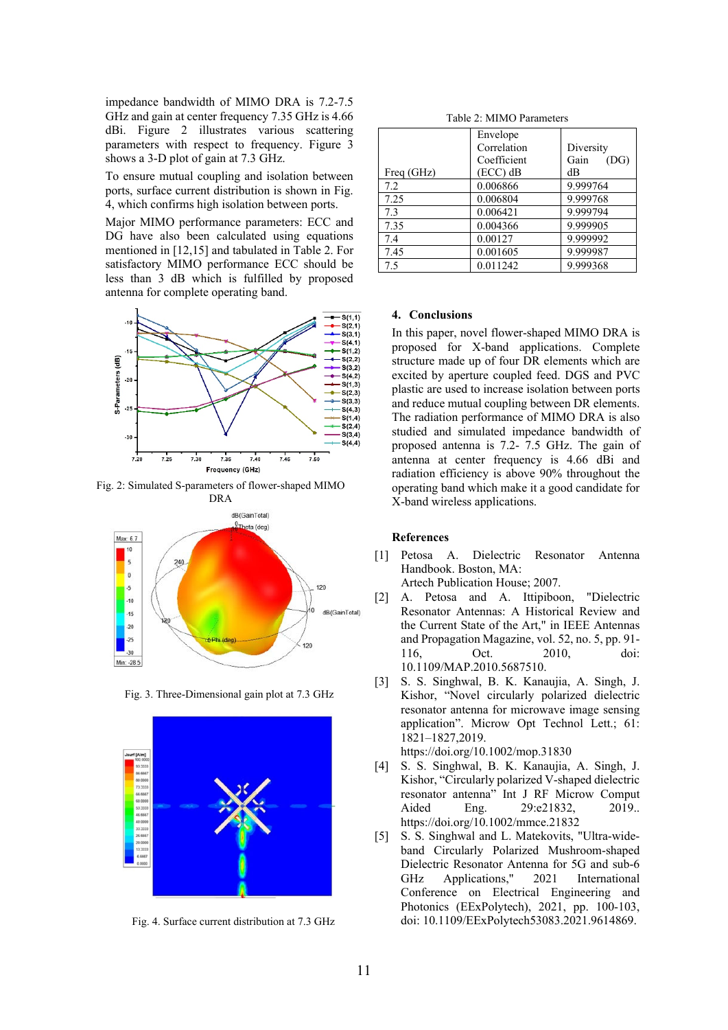impedance bandwidth of MIMO DRA is 7.2-7.5 GHz and gain at center frequency 7.35 GHz is 4.66 dBi. Figure 2 illustrates various scattering parameters with respect to frequency. Figure 3 shows a 3-D plot of gain at 7.3 GHz.

To ensure mutual coupling and isolation between ports, surface current distribution is shown in Fig. 4, which confirms high isolation between ports.

Major MIMO performance parameters: ECC and DG have also been calculated using equations mentioned in [12,15] and tabulated in Table 2. For satisfactory MIMO performance ECC should be less than 3 dB which is fulfilled by proposed antenna for complete operating band.



Fig. 2: Simulated S-parameters of flower-shaped MIMO



Fig. 3. Three-Dimensional gain plot at 7.3 GHz



Fig. 4. Surface current distribution at 7.3 GHz

Table 2: MIMO Parameters

|            | Envelope<br>Correlation<br>Coefficient | Diversity<br>Gain<br>(DG) |
|------------|----------------------------------------|---------------------------|
| Freq (GHz) | $(ECC)$ dB                             | dB                        |
| 7.2        | 0.006866                               | 9.999764                  |
| 7.25       | 0.006804                               | 9.999768                  |
| 7.3        | 0.006421                               | 9.999794                  |
| 7.35       | 0.004366                               | 9.999905                  |
| 7.4        | 0.00127                                | 9.999992                  |
| 7.45       | 0.001605                               | 9.999987                  |
| 7.5        | 0.011242                               | 9.999368                  |

#### **4. Conclusions**

In this paper, novel flower-shaped MIMO DRA is proposed for X-band applications. Complete structure made up of four DR elements which are excited by aperture coupled feed. DGS and PVC plastic are used to increase isolation between ports and reduce mutual coupling between DR elements. The radiation performance of MIMO DRA is also studied and simulated impedance bandwidth of proposed antenna is 7.2- 7.5 GHz. The gain of antenna at center frequency is 4.66 dBi and radiation efficiency is above 90% throughout the operating band which make it a good candidate for X-band wireless applications.

# **References**

- [1] Petosa A. Dielectric Resonator Antenna Handbook. Boston, MA: Artech Publication House; 2007.
- [2] A. Petosa and A. Ittipiboon, "Dielectric Resonator Antennas: A Historical Review and the Current State of the Art," in IEEE Antennas and Propagation Magazine, vol. 52, no. 5, pp. 91- 116, Oct. 2010, doi: 10.1109/MAP.2010.5687510.
- [3] S. S. Singhwal, B. K. Kanaujia, A. Singh, J. Kishor, "Novel circularly polarized dielectric resonator antenna for microwave image sensing application". Microw Opt Technol Lett.; 61: 1821–1827,2019. https://doi.org/10.1002/mop.31830

[4] S. S. Singhwal, B. K. Kanaujia, A. Singh, J. Kishor, "Circularly polarized V-shaped dielectric resonator antenna" Int J RF Microw Comput

- Aided Eng. 29:e21832, 2019. https://doi.org/10.1002/mmce.21832
- [5] S. S. Singhwal and L. Matekovits, "Ultra-wideband Circularly Polarized Mushroom-shaped Dielectric Resonator Antenna for 5G and sub-6 GHz Applications," 2021 International Conference on Electrical Engineering and Photonics (EExPolytech), 2021, pp. 100-103, doi: 10.1109/EExPolytech53083.2021.9614869.